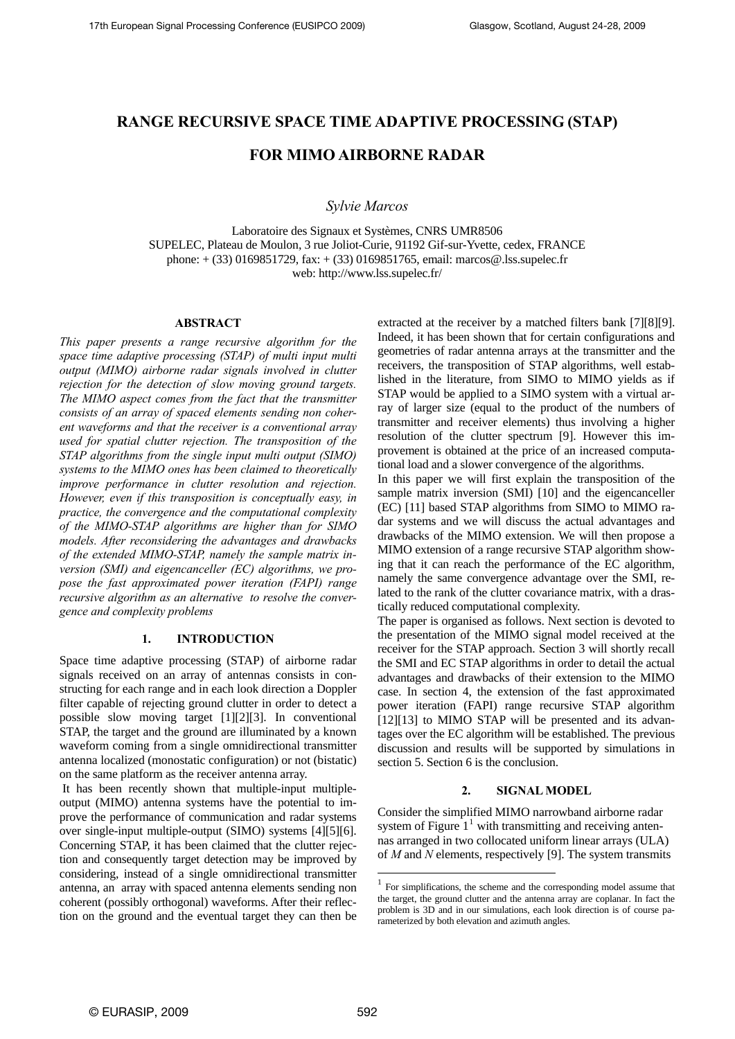# **RANGE RECURSIVE SPACE TIME ADAPTIVE PROCESSING (STAP)**

# **FOR MIMO AIRBORNE RADAR**

 *Sylvie Marcos* 

Laboratoire des Signaux et Systèmes, CNRS UMR8506 SUPELEC, Plateau de Moulon, 3 rue Joliot-Curie, 91192 Gif-sur-Yvette, cedex, FRANCE phone: + (33) 0169851729, fax: + (33) 0169851765, email: marcos@.lss.supelec.fr web: http://www.lss.supelec.fr/

### **ABSTRACT**

*This paper presents a range recursive algorithm for the space time adaptive processing (STAP) of multi input multi output (MIMO) airborne radar signals involved in clutter rejection for the detection of slow moving ground targets. The MIMO aspect comes from the fact that the transmitter consists of an array of spaced elements sending non coherent waveforms and that the receiver is a conventional array used for spatial clutter rejection. The transposition of the STAP algorithms from the single input multi output (SIMO) systems to the MIMO ones has been claimed to theoretically improve performance in clutter resolution and rejection. However, even if this transposition is conceptually easy, in practice, the convergence and the computational complexity of the MIMO-STAP algorithms are higher than for SIMO models. After reconsidering the advantages and drawbacks of the extended MIMO-STAP, namely the sample matrix inversion (SMI) and eigencanceller (EC) algorithms, we propose the fast approximated power iteration (FAPI) range recursive algorithm as an alternative to resolve the convergence and complexity problems* 

# **1. INTRODUCTION**

Space time adaptive processing (STAP) of airborne radar signals received on an array of antennas consists in constructing for each range and in each look direction a Doppler filter capable of rejecting ground clutter in order to detect a possible slow moving target [1][2][3]. In conventional STAP, the target and the ground are illuminated by a known waveform coming from a single omnidirectional transmitter antenna localized (monostatic configuration) or not (bistatic) on the same platform as the receiver antenna array.

<span id="page-0-0"></span> It has been recently shown that multiple-input multipleoutput (MIMO) antenna systems have the potential to improve the performance of communication and radar systems over single-input multiple-output (SIMO) systems [4][5][6]. Concerning STAP, it has been claimed that the clutter rejection and consequently target detection may be improved by considering, instead of a single omnidirectional transmitter antenna, an array with spaced antenna elements sending non coherent (possibly orthogonal) waveforms. After their reflection on the ground and the eventual target they can then be extracted at the receiver by a matched filters bank [7][8][9]. Indeed, it has been shown that for certain configurations and geometries of radar antenna arrays at the transmitter and the receivers, the transposition of STAP algorithms, well established in the literature, from SIMO to MIMO yields as if STAP would be applied to a SIMO system with a virtual array of larger size (equal to the product of the numbers of transmitter and receiver elements) thus involving a higher resolution of the clutter spectrum [9]. However this improvement is obtained at the price of an increased computational load and a slower convergence of the algorithms.

In this paper we will first explain the transposition of the sample matrix inversion (SMI) [10] and the eigencanceller (EC) [11] based STAP algorithms from SIMO to MIMO radar systems and we will discuss the actual advantages and drawbacks of the MIMO extension. We will then propose a MIMO extension of a range recursive STAP algorithm showing that it can reach the performance of the EC algorithm, namely the same convergence advantage over the SMI, related to the rank of the clutter covariance matrix, with a drastically reduced computational complexity.

The paper is organised as follows. Next section is devoted to the presentation of the MIMO signal model received at the receiver for the STAP approach. Section 3 will shortly recall the SMI and EC STAP algorithms in order to detail the actual advantages and drawbacks of their extension to the MIMO case. In section 4, the extension of the fast approximated power iteration (FAPI) range recursive STAP algorithm [12][13] to MIMO STAP will be presented and its advantages over the EC algorithm will be established. The previous discussion and results will be supported by simulations in section 5. Section 6 is the conclusion.

# **2. SIGNAL MODEL**

Consider the simplified MIMO narrowband airborne radar system of Figure  $1<sup>1</sup>$  $1<sup>1</sup>$  with transmitting and receiving antennas arranged in two collocated uniform linear arrays (ULA) of *M* and *N* elements, respectively [9]. The system transmits

1

<sup>1</sup> For simplifications, the scheme and the corresponding model assume that the target, the ground clutter and the antenna array are coplanar. In fact the problem is 3D and in our simulations, each look direction is of course parameterized by both elevation and azimuth angles.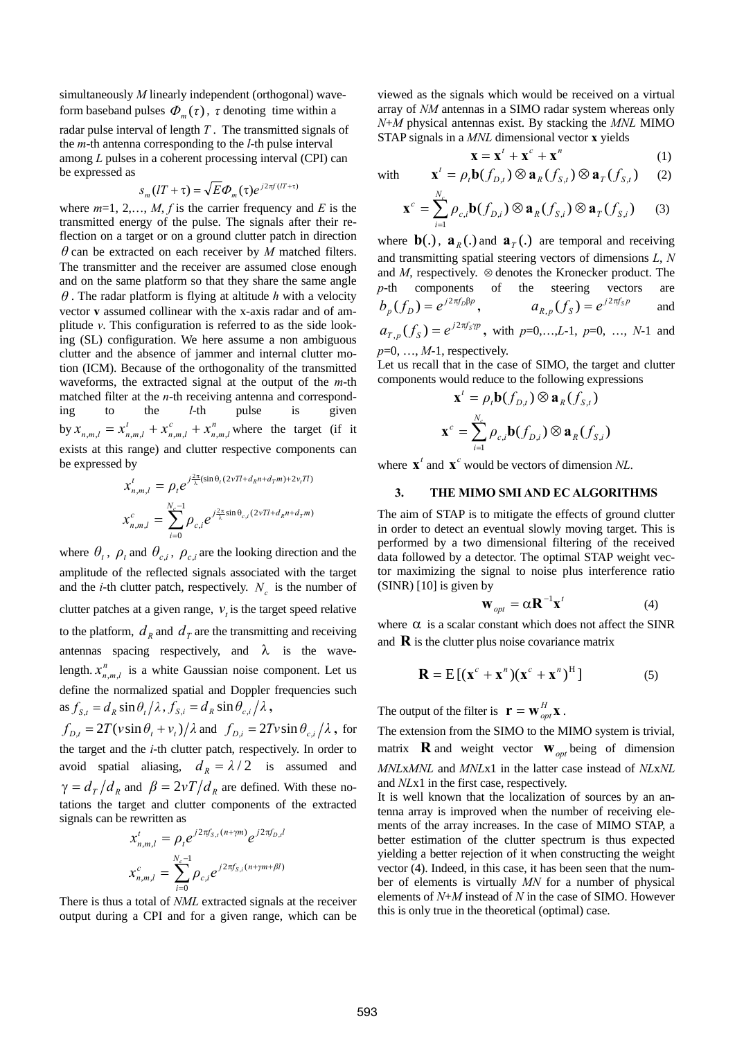simultaneously *M* linearly independent (orthogonal) waveform baseband pulses  $\Phi_m(\tau)$ ,  $\tau$  denoting time within a

radar pulse interval of length *T* . The transmitted signals of the *m*-th antenna corresponding to the *l*-th pulse interval among *L* pulses in a coherent processing interval (CPI) can be expressed as

$$
s_m(IT + \tau) = \sqrt{E}\Phi_m(\tau)e^{j2\pi f(IT + \tau)}
$$

where  $m=1, 2, \ldots, M$ , *f* is the carrier frequency and *E* is the transmitted energy of the pulse. The signals after their reflection on a target or on a ground clutter patch in direction  $\theta$  can be extracted on each receiver by  $M$  matched filters. The transmitter and the receiver are assumed close enough and on the same platform so that they share the same angle  $\theta$ . The radar platform is flying at altitude  $h$  with a velocity vector **v** assumed collinear with the x-axis radar and of amplitude *v*. This configuration is referred to as the side looking (SL) configuration. We here assume a non ambiguous clutter and the absence of jammer and internal clutter motion (ICM). Because of the orthogonality of the transmitted waveforms, the extracted signal at the output of the *m*-th matched filter at the *n*-th receiving antenna and corresponding to the *l*-th pulse is given by  $x_{n,m,l} = x_{n,m,l}^t + x_{n,m,l}^c + x_{n,m,l}^n$  where the target (if it exists at this range) and clutter respective components can be expressed by  $n,m,l$ *c*  $n,m,l$  $x_{n,m,l} = x_{n,m,l}^t + x_{n,m,l}^c + x_{n,m,l}^n$ 

$$
x_{n,m,l}^t = \rho_t e^{j\frac{2\pi}{\lambda}(\sin\theta_t(2\nu T l + d_R n + d_T m) + 2\nu_t T l)}
$$

$$
x_{n,m,l}^c = \sum_{i=0}^{N_c - 1} \rho_{c,i} e^{j\frac{2\pi}{\lambda}\sin\theta_{c,i}(2\nu T l + d_R n + d_T m)}
$$

where  $\theta_t$ ,  $\rho_t$  and  $\theta_{c,i}$ ,  $\rho_{c,i}$  are the looking direction and the amplitude of the reflected signals associated with the target and the *i*-th clutter patch, respectively.  $N_c$  is the number of clutter patches at a given range,  $v_t$  is the target speed relative to the platform,  $d_R$  and  $d_T$  are the transmitting and receiving antennas spacing respectively, and  $\lambda$  is the wavelength.  $x_{n,m,l}$  is a white Gaussian noise component. Let us define the normalized spatial and Doppler frequencies such  $\int_{S,t} = d_R \sin \theta_t / \lambda$ ,  $f_{S,i} = d_R \sin \theta_{c,i} / \lambda$ ,

 $f_{D,t} = 2T(v\sin\theta_t + v_t)/\lambda$  and  $f_{D,i} = 2Tv\sin\theta_{c,i}/\lambda$ , for the target and the *i*-th clutter patch, respectively. In order to avoid spatial aliasing,  $d_R = \lambda/2$  is assumed and  $\gamma = d_T/d_R$  and  $\beta = 2vT/d_R$  are defined. With these notations the target and clutter components of the extracted signals can be rewritten as

$$
x_{n,m,l}^t = \rho_t e^{j2\pi f_{S,l}(n+\gamma m)} e^{j2\pi f_{D,l}t}
$$

$$
x_{n,m,l}^c = \sum_{i=0}^{N_c-1} \rho_{c,i} e^{j2\pi f_{S,l}(n+\gamma m+\beta l)}
$$

There is thus a total of *NML* extracted signals at the receiver output during a CPI and for a given range, which can be

viewed as the signals which would be received on a virtual array of *NM* antennas in a SIMO radar system whereas only *N*+*M* physical antennas exist. By stacking the *MNL* MIMO STAP signals in a *MNL* dimensional vector **x** yields

$$
\mathbf{X} = \mathbf{X}^t + \mathbf{X}^c + \mathbf{X}^n \tag{1}
$$

with 
$$
\mathbf{x}^t = \rho_t \mathbf{b}(f_{D,t}) \otimes \mathbf{a}_R(f_{S,t}) \otimes \mathbf{a}_T(f_{S,t})
$$
 (2)

$$
\mathbf{x}^c = \sum_{i=1}^{N_c} \rho_{c,i} \mathbf{b}(f_{D,i}) \otimes \mathbf{a}_R(f_{S,i}) \otimes \mathbf{a}_T(f_{S,i}) \qquad (3)
$$

where  $\mathbf{b}(.)$ ,  $\mathbf{a}_R(.)$  and  $\mathbf{a}_T(.)$  are temporal and receiving and transmitting spatial steering vectors of dimensions *L*, *N* and *M*, respectively. ⊗ denotes the Kronecker product. The *p*-th components of the steering vectors are  $b_p(f_p) = e^{j2\pi f_p \beta p}$ ,  $a_{R,p}(f_s) = e^{j2\pi f_s p}$  and

$$
a_{T,p}(f_s) = e^{j2\pi f_s\gamma p}
$$
, with  $p=0,...,L-1, p=0, ..., N-1$  and  $p=0, ..., M-1$ , respectively.

Let us recall that in the case of SIMO, the target and clutter components would reduce to the following expressions

$$
\mathbf{x}^t = \rho_t \mathbf{b}(f_{D,t}) \otimes \mathbf{a}_R(f_{S,t})
$$

$$
\mathbf{x}^c = \sum_{i=1}^{N_c} \rho_{c,i} \mathbf{b}(f_{D,i}) \otimes \mathbf{a}_R(f_{S,i})
$$

where  $\mathbf{x}^t$  and  $\mathbf{x}^c$  would be vectors of dimension *NL*.

#### **3. THE MIMO SMI AND EC ALGORITHMS**

The aim of STAP is to mitigate the effects of ground clutter in order to detect an eventual slowly moving target. This is performed by a two dimensional filtering of the received data followed by a detector. The optimal STAP weight vector maximizing the signal to noise plus interference ratio (SINR) [10] is given by

$$
\mathbf{W}_{opt} = \alpha \mathbf{R}^{-1} \mathbf{x}^t \tag{4}
$$

where  $\alpha$  is a scalar constant which does not affect the SINR and  $\bf{R}$  is the clutter plus noise covariance matrix

$$
\mathbf{R} = \mathbf{E} \left[ (\mathbf{x}^c + \mathbf{x}^n) (\mathbf{x}^c + \mathbf{x}^n)^H \right]
$$
 (5)

The output of the filter is  $\mathbf{r} = \mathbf{W}_{opt}^H \mathbf{x}$ .

The extension from the SIMO to the MIMO system is trivial, matrix **R** and weight vector  $\mathbf{w}_{opt}$  being of dimension *MNL*x*MNL* and *MNL*x1 in the latter case instead of *NL*x*NL*  and *NL*x1 in the first case, respectively.

It is well known that the localization of sources by an antenna array is improved when the number of receiving elements of the array increases. In the case of MIMO STAP, a better estimation of the clutter spectrum is thus expected yielding a better rejection of it when constructing the weight vector (4). Indeed, in this case, it has been seen that the number of elements is virtually *MN* for a number of physical elements of *N*+*M* instead of *N* in the case of SIMO. However this is only true in the theoretical (optimal) case.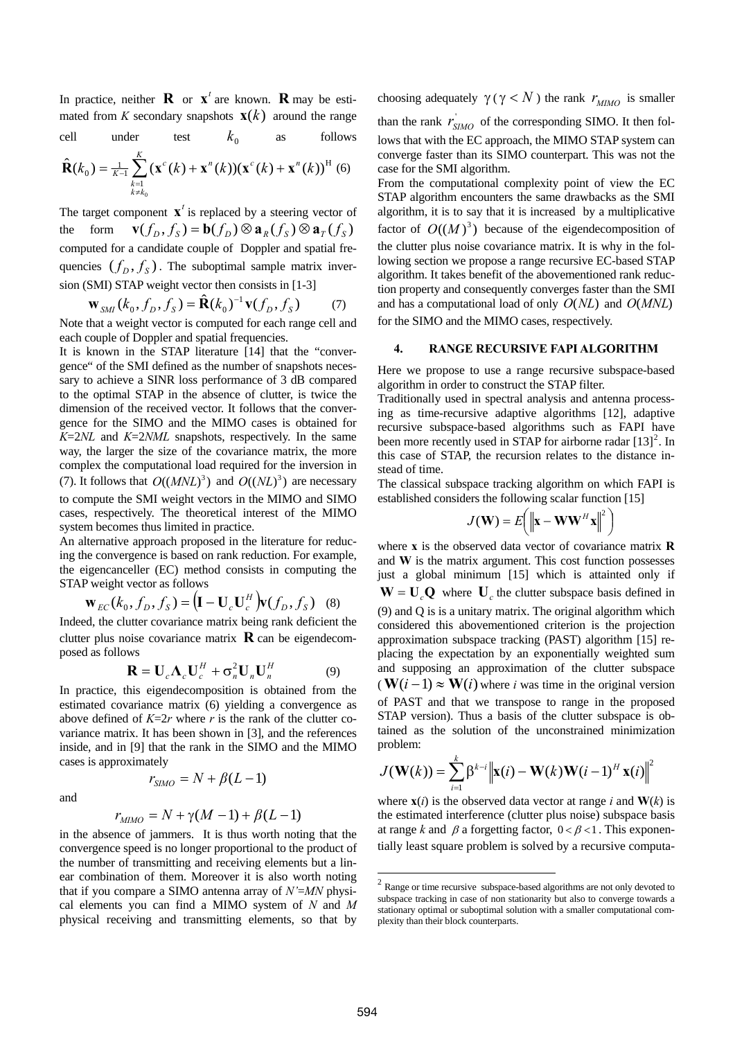In practice, neither **R** or  $\mathbf{x}^t$  are known. **R** may be estimated from *K* secondary snapshots  $\mathbf{x}(k)$  around the range

cell under test 
$$
k_0
$$
 as follows

$$
\hat{\mathbf{R}}(k_0) = \frac{1}{K-1} \sum_{\substack{k=1\\k \neq k_0}}^{K} (\mathbf{x}^c(k) + \mathbf{x}^n(k)) (\mathbf{x}^c(k) + \mathbf{x}^n(k))^{\mathrm{H}} \tag{6}
$$

The target component  $\mathbf{x}^t$  is replaced by a steering vector of the form computed for a candidate couple of Doppler and spatial frequencies  $(f_D, f_S)$ . The suboptimal sample matrix inversion (SMI) STAP weight vector then consists in [1-3]  $\mathbf{v}(f_n,f_s) = \mathbf{b}(f_n) \otimes \mathbf{a}_{R}(f_s) \otimes \mathbf{a}_{T}(f_s)$ 

$$
\mathbf{W}_{\text{SMI}}(k_0, f_D, f_S) = \hat{\mathbf{R}}(k_0)^{-1} \mathbf{v}(f_D, f_S) \tag{7}
$$

Note that a weight vector is computed for each range cell and each couple of Doppler and spatial frequencies.

It is known in the STAP literature [14] that the "convergence" of the SMI defined as the number of snapshots necessary to achieve a SINR loss performance of 3 dB compared to the optimal STAP in the absence of clutter, is twice the dimension of the received vector. It follows that the convergence for the SIMO and the MIMO cases is obtained for *K*=2*NL* and *K*=2*NML* snapshots, respectively. In the same way, the larger the size of the covariance matrix, the more complex the computational load required for the inversion in (7). It follows that  $O((MNL)^3)$  and  $O((NL)^3)$  are necessary to compute the SMI weight vectors in the MIMO and SIMO cases, respectively. The theoretical interest of the MIMO system becomes thus limited in practice.

An alternative approach proposed in the literature for reducing the convergence is based on rank reduction. For example, the eigencanceller (EC) method consists in computing the STAP weight vector as follows

$$
\mathbf{w}_{EC}(k_0, f_D, f_S) = \left(\mathbf{I} - \mathbf{U}_c \mathbf{U}_c^H \right) \mathbf{v}(f_D, f_S) \quad (8)
$$

Indeed, the clutter covariance matrix being rank deficient the clutter plus noise covariance matrix  $\bf{R}$  can be eigendecomposed as follows

$$
\mathbf{R} = \mathbf{U}_c \mathbf{\Lambda}_c \mathbf{U}_c^H + \sigma_n^2 \mathbf{U}_n \mathbf{U}_n^H
$$
 (9)

In practice, this eigendecomposition is obtained from the estimated covariance matrix (6) yielding a convergence as above defined of  $K=2r$  where *r* is the rank of the clutter covariance matrix. It has been shown in [3], and the references inside, and in [9] that the rank in the SIMO and the MIMO cases is approximately

and

$$
r_{SIMO} = N + \beta(L-1)
$$

$$
r_{MIMO} = N + \gamma(M-1) + \beta(L-1)
$$

<span id="page-2-0"></span>in the absence of jammers. It is thus worth noting that the convergence speed is no longer proportional to the product of the number of transmitting and receiving elements but a linear combination of them. Moreover it is also worth noting that if you compare a SIMO antenna array of *N'*=*MN* physical elements you can find a MIMO system of *N* and *M* physical receiving and transmitting elements, so that by

choosing adequately  $\gamma (\gamma \langle N \rangle)$  the rank  $r_{MIMO}$  is smaller than the rank  $r_{SIMO}$  of the corresponding SIMO. It then follows that with the EC approach, the MIMO STAP system can converge faster than its SIMO counterpart. This was not the case for the SMI algorithm.

From the computational complexity point of view the EC STAP algorithm encounters the same drawbacks as the SMI algorithm, it is to say that it is increased by a multiplicative factor of  $O((M)^3)$  because of the eigendecomposition of the clutter plus noise covariance matrix. It is why in the following section we propose a range recursive EC-based STAP algorithm. It takes benefit of the abovementioned rank reduction property and consequently converges faster than the SMI and has a computational load of only  $O(NL)$  and  $O(MNL)$ for the SIMO and the MIMO cases, respectively.

#### **4. RANGE RECURSIVE FAPI ALGORITHM**

Here we propose to use a range recursive subspace-based algorithm in order to construct the STAP filter.

Traditionally used in spectral analysis and antenna processing as time-recursive adaptive algorithms [12], adaptive recursive subspace-based algorithms such as FAPI have been more recently used in STAP for airborne radar  $[13]^2$  $[13]^2$ . In this case of STAP, the recursion relates to the distance instead of time.

The classical subspace tracking algorithm on which FAPI is established considers the following scalar function [15]

$$
J(\mathbf{W}) = E\left(\left\|\mathbf{x} - \mathbf{W}\mathbf{W}^H\mathbf{x}\right\|^2\right)
$$

where **x** is the observed data vector of covariance matrix **R**  and **W** is the matrix argument. This cost function possesses just a global minimum [15] which is attainted only if  $W = U_c Q$  where  $U_c$  the clutter subspace basis defined in (9) and Q is is a unitary matrix. The original algorithm which considered this abovementioned criterion is the projection approximation subspace tracking (PAST) algorithm [15] replacing the expectation by an exponentially weighted sum and supposing an approximation of the clutter subspace  $(\mathbf{W}(i-1) \approx \mathbf{W}(i)$  where *i* was time in the original version of PAST and that we transpose to range in the proposed STAP version). Thus a basis of the clutter subspace is obtained as the solution of the unconstrained minimization problem:

$$
J(\mathbf{W}(k)) = \sum_{i=1}^{k} \beta^{k-i} ||\mathbf{x}(i) - \mathbf{W}(k)\mathbf{W}(i-1)^{H} \mathbf{x}(i)||^{2}
$$

where  $\mathbf{x}(i)$  is the observed data vector at range *i* and  $\mathbf{W}(k)$  is the estimated interference (clutter plus noise) subspace basis at range *k* and  $\beta$  a forgetting factor,  $0 < \beta < 1$ . This exponentially least square problem is solved by a recursive computa-

1

 $2$  Range or time recursive subspace-based algorithms are not only devoted to subspace tracking in case of non stationarity but also to converge towards a stationary optimal or suboptimal solution with a smaller computational complexity than their block counterparts.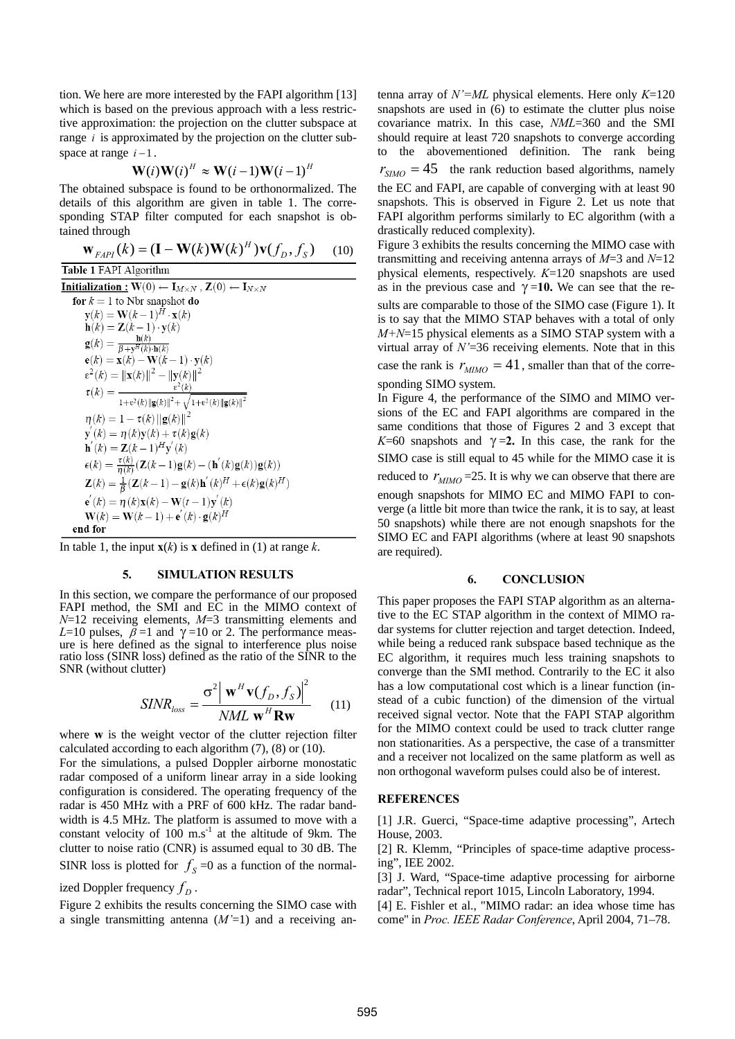tion. We here are more interested by the FAPI algorithm [13] which is based on the previous approach with a less restrictive approximation: the projection on the clutter subspace at range  $i$  is approximated by the projection on the clutter subspace at range  $i-1$ .

$$
\mathbf{W}(i)\mathbf{W}(i)^{H} \approx \mathbf{W}(i-1)\mathbf{W}(i-1)^{H}
$$

The obtained subspace is found to be orthonormalized. The details of this algorithm are given in table 1. The corresponding STAP filter computed for each snapshot is obtained through

$$
\mathbf{W}_{FAPI}(k) = (\mathbf{I} - \mathbf{W}(k)\mathbf{W}(k)^{H})\mathbf{v}(f_{D}, f_{S})
$$
 (10)

Table 1 FAPI Algorithm **Initialization :**  $W(0) \leftarrow I_{M \times N}$ ,  $Z(0) \leftarrow I_{N \times N}$ for  $k = 1$  to Nbr snapshot do **r**  $k = 1$  to Nor snapshot **do**<br> **y**(k) = **W**(k-1)<sup>H</sup> · **x**(k)<br> **h**(k) = **Z**(k-1) · **y**(k)<br> **g**(k) =  $\frac{\mathbf{h}(k)}{\beta + \mathbf{y}^H(k) \cdot \mathbf{h}(k)}$ <br> **e**(k) = **x**(k) - **W**(k-1) · **y**(k)  $\mathbf{e}(\kappa) = \mathbf{x}(\kappa) - \mathbf{w}(\kappa - 1) \cdot \mathbf{y}(\kappa)$ <br>  $\epsilon^2(k) = ||\mathbf{x}(k)||^2 - ||\mathbf{y}(k)||^2$ <br>  $\tau(k) = \frac{\epsilon^2(k)}{1 + \epsilon^2(k) ||\mathbf{g}(k)||^2 + \sqrt{1 + \epsilon^2(k) ||\mathbf{g}(k)||^2}$  $\eta(k) = 1 - \tau(k) ||g(k)||^2$  $\mathbf{y}'(k) = \eta(k)\mathbf{y}(k) + \tau(k)\mathbf{g}(k)$ <br>  $\mathbf{h}'(k) = \mathbf{Z}(k-1)^H\mathbf{y}'(k)$  $\epsilon(k) = \frac{\tau(k)}{\eta(k)} (\mathbf{Z}(k-1)\mathbf{g}(k) - (\mathbf{h}'(k)\mathbf{g}(k))\mathbf{g}(k))$ <br>  $\mathbf{Z}(k) = \frac{1}{\beta} (\mathbf{Z}(k-1) - \mathbf{g}(k)\mathbf{h}'(k)^H + \epsilon(k)\mathbf{g}(k)^H)$  ${\bf e}'(k) = \eta(k){\bf x}(k) - {\bf W}(t-1){\bf y}'(k)$  ${\bf W}(k) = {\bf W}(k-1) + {\bf e}'(k) \cdot {\bf g}(k)^H$ end for

In table 1, the input  $\mathbf{x}(k)$  is **x** defined in (1) at range *k*.

#### **5. SIMULATION RESULTS**

In this section, we compare the performance of our proposed FAPI method, the SMI and EC in the MIMO context of *N*=12 receiving elements, *M*=3 transmitting elements and *L*=10 pulses,  $\beta$  =1 and  $\gamma$  =10 or 2. The performance measure is here defined as the signal to interference plus noise ratio loss (SINR loss) defined as the ratio of the SINR to the SNR (without clutter)

$$
SINR_{loss} = \frac{\sigma^2 \left| \mathbf{w}^H \mathbf{v}(f_D, f_S) \right|^2}{NML \mathbf{w}^H \mathbf{R} \mathbf{w}}
$$
 (11)

where **w** is the weight vector of the clutter rejection filter calculated according to each algorithm (7), (8) or (10).

For the simulations, a pulsed Doppler airborne monostatic radar composed of a uniform linear array in a side looking configuration is considered. The operating frequency of the radar is 450 MHz with a PRF of 600 kHz. The radar bandwidth is 4.5 MHz. The platform is assumed to move with a constant velocity of 100  $\text{m.s}^{-1}$  at the altitude of 9km. The clutter to noise ratio (CNR) is assumed equal to 30 dB. The SINR loss is plotted for  $f_s = 0$  as a function of the normal-

ized Doppler frequency  $f<sub>D</sub>$ .

Figure 2 exhibits the results concerning the SIMO case with a single transmitting antenna (*M'*=1) and a receiving antenna array of *N'=ML* physical elements. Here only *K*=120 snapshots are used in (6) to estimate the clutter plus noise covariance matrix. In this case, *NML*=360 and the SMI should require at least 720 snapshots to converge according to the abovementioned definition. The rank being  $r_{SIMO} = 45$  the rank reduction based algorithms, namely the EC and FAPI, are capable of converging with at least 90 snapshots. This is observed in Figure 2. Let us note that FAPI algorithm performs similarly to EC algorithm (with a drastically reduced complexity).

Figure 3 exhibits the results concerning the MIMO case with transmitting and receiving antenna arrays of *M*=3 and *N*=12 physical elements, respectively. *K*=120 snapshots are used as in the previous case and  $\gamma = 10$ . We can see that the results are comparable to those of the SIMO case (Figure 1). It is to say that the MIMO STAP behaves with a total of only *M+N*=15 physical elements as a SIMO STAP system with a virtual array of *N'*=36 receiving elements. Note that in this case the rank is  $r_{MIMO} = 41$ , smaller than that of the corresponding SIMO system.

In Figure 4, the performance of the SIMO and MIMO versions of the EC and FAPI algorithms are compared in the same conditions that those of Figures 2 and 3 except that  $K=60$  snapshots and  $\gamma=2$ . In this case, the rank for the SIMO case is still equal to 45 while for the MIMO case it is reduced to  $r_{MIMO} = 25$ . It is why we can observe that there are enough snapshots for MIMO EC and MIMO FAPI to converge (a little bit more than twice the rank, it is to say, at least 50 snapshots) while there are not enough snapshots for the SIMO EC and FAPI algorithms (where at least 90 snapshots are required).

#### **6. CONCLUSION**

This paper proposes the FAPI STAP algorithm as an alternative to the EC STAP algorithm in the context of MIMO radar systems for clutter rejection and target detection. Indeed, while being a reduced rank subspace based technique as the EC algorithm, it requires much less training snapshots to converge than the SMI method. Contrarily to the EC it also has a low computational cost which is a linear function (instead of a cubic function) of the dimension of the virtual received signal vector. Note that the FAPI STAP algorithm for the MIMO context could be used to track clutter range non stationarities. As a perspective, the case of a transmitter and a receiver not localized on the same platform as well as non orthogonal waveform pulses could also be of interest.

#### **REFERENCES**

[1] J.R. Guerci, "Space-time adaptive processing", Artech House, 2003.

[2] R. Klemm, "Principles of space-time adaptive processing", IEE 2002.

[3] J. Ward, "Space-time adaptive processing for airborne radar", Technical report 1015, Lincoln Laboratory, 1994.

[4] E. Fishler et al., "MIMO radar: an idea whose time has come'' in *Proc. IEEE Radar Conference*, April 2004, 71–78.